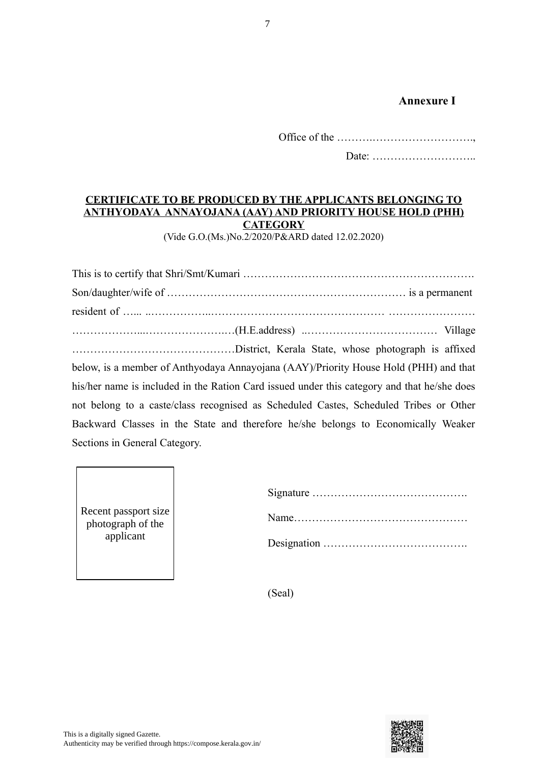## **Annexure I**

Office of the ……….……………………….,

Date: ………………………..

## **CERTIFICATE TO BE PRODUCED BY THE APPLICANTS BELONGING TO ANTHYODAYA ANNAYOJANA (AAY) AND PRIORITY HOUSE HOLD (PHH) CATEGORY**

(Vide G.O.(Ms.)No.2/2020/P&ARD dated 12.02.2020)

| below, is a member of Anthyodaya Annayojana (AAY)/Priority House Hold (PHH) and that        |  |
|---------------------------------------------------------------------------------------------|--|
| his/her name is included in the Ration Card issued under this category and that he/she does |  |
| not belong to a caste/class recognised as Scheduled Castes, Scheduled Tribes or Other       |  |
| Backward Classes in the State and therefore he/she belongs to Economically Weaker           |  |
| Sections in General Category.                                                               |  |
|                                                                                             |  |

| Recent passport size |
|----------------------|
| photograph of the    |
| applicant            |
|                      |

(Seal)